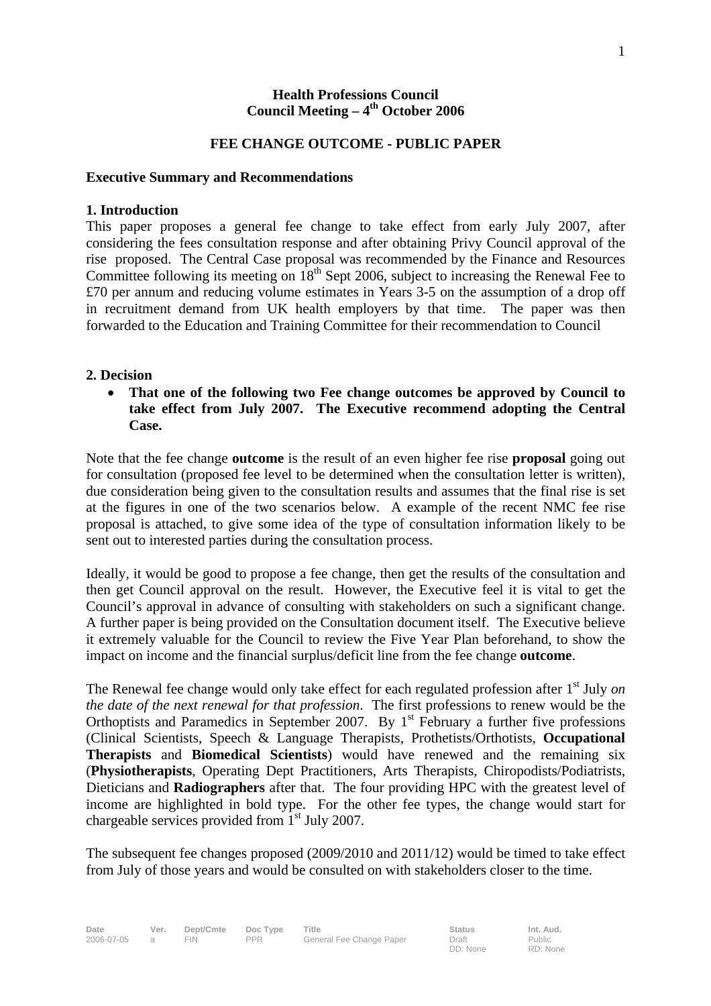#### **Health Professions Council**  Council Meeting – 4<sup>th</sup> October 2006

#### **FEE CHANGE OUTCOME - PUBLIC PAPER**

#### **Executive Summary and Recommendations**

#### **1. Introduction**

This paper proposes a general fee change to take effect from early July 2007, after considering the fees consultation response and after obtaining Privy Council approval of the rise proposed. The Central Case proposal was recommended by the Finance and Resources Committee following its meeting on  $18<sup>th</sup>$  Sept 2006, subject to increasing the Renewal Fee to £70 per annum and reducing volume estimates in Years 3-5 on the assumption of a drop off in recruitment demand from UK health employers by that time. The paper was then forwarded to the Education and Training Committee for their recommendation to Council

#### **2. Decision**

• **That one of the following two Fee change outcomes be approved by Council to take effect from July 2007. The Executive recommend adopting the Central Case.** 

Note that the fee change **outcome** is the result of an even higher fee rise **proposal** going out for consultation (proposed fee level to be determined when the consultation letter is written), due consideration being given to the consultation results and assumes that the final rise is set at the figures in one of the two scenarios below. A example of the recent NMC fee rise proposal is attached, to give some idea of the type of consultation information likely to be sent out to interested parties during the consultation process.

Ideally, it would be good to propose a fee change, then get the results of the consultation and then get Council approval on the result. However, the Executive feel it is vital to get the Council's approval in advance of consulting with stakeholders on such a significant change. A further paper is being provided on the Consultation document itself. The Executive believe it extremely valuable for the Council to review the Five Year Plan beforehand, to show the impact on income and the financial surplus/deficit line from the fee change **outcome**.

The Renewal fee change would only take effect for each regulated profession after 1<sup>st</sup> July *on the date of the next renewal for that profession*. The first professions to renew would be the Orthoptists and Paramedics in September 2007. By  $1<sup>st</sup>$  February a further five professions (Clinical Scientists, Speech & Language Therapists, Prothetists/Orthotists, **Occupational Therapists** and **Biomedical Scientists**) would have renewed and the remaining six (**Physiotherapists**, Operating Dept Practitioners, Arts Therapists, Chiropodists/Podiatrists, Dieticians and **Radiographers** after that. The four providing HPC with the greatest level of income are highlighted in bold type. For the other fee types, the change would start for chargeable services provided from  $1<sup>st</sup>$  July 2007.

The subsequent fee changes proposed (2009/2010 and 2011/12) would be timed to take effect from July of those years and would be consulted on with stakeholders closer to the time.

Public RD: None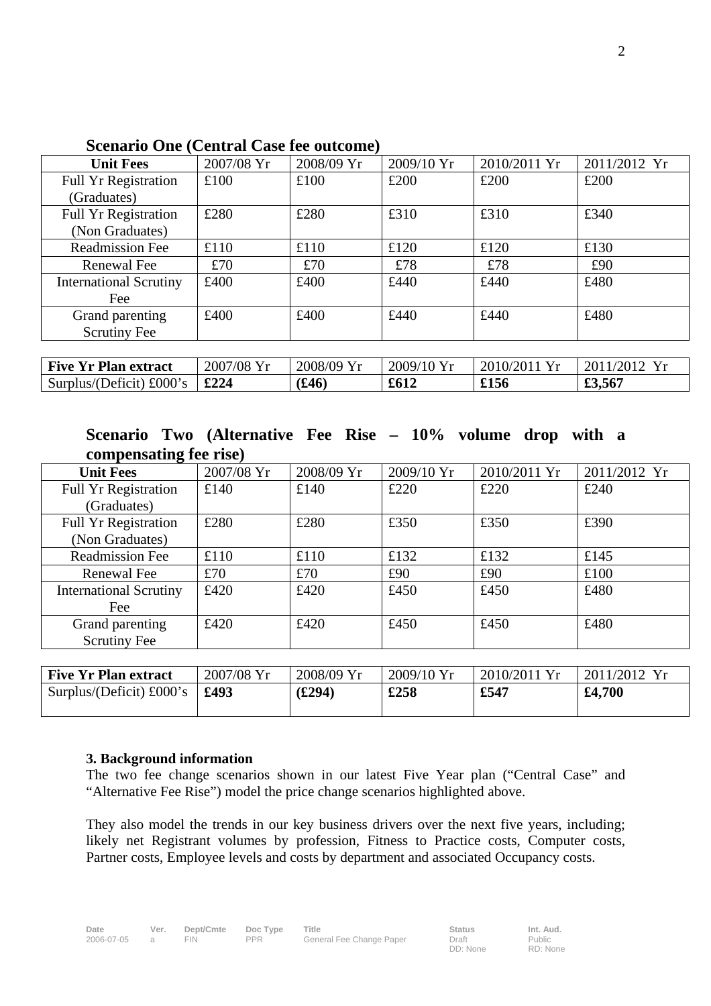| <b>Unit Fees</b>              | 2007/08 Yr | 2008/09 Yr | $2009/10$ Yr | 2010/2011 Yr | 2011/2012 Yr |
|-------------------------------|------------|------------|--------------|--------------|--------------|
| <b>Full Yr Registration</b>   | £100       | £100       | £200         | £200         | £200         |
| (Graduates)                   |            |            |              |              |              |
| <b>Full Yr Registration</b>   | £280       | £280       | £310         | £310         | £340         |
| (Non Graduates)               |            |            |              |              |              |
| <b>Readmission Fee</b>        | £110       | £110       | £120         | £120         | £130         |
| Renewal Fee                   | £70        | £70        | £78          | £78          | £90          |
| <b>International Scrutiny</b> | £400       | £400       | £440         | £440         | £480         |
| Fee                           |            |            |              |              |              |
| Grand parenting               | £400       | £400       | £440         | £440         | £480         |
| <b>Scrutiny Fee</b>           |            |            |              |              |              |
|                               |            |            |              |              |              |
| <b>Five Yr Plan extract</b>   | 2007/08 Yr | 2008/09 Yr | $2009/10$ Yr | 2010/2011 Yr | 2011/2012 Yr |

### **Scenario One (Central Case fee outcome)**

## **Scenario Two (Alternative Fee Rise – 10% volume drop with a compensating fee rise)**

Surplus/(Deficit) £000's **£224 (£46) £612 £156 £3,567** 

| <b>Unit Fees</b>              | 2007/08 Yr | 2008/09 Yr | 2009/10 Yr | 2010/2011 Yr | 2011/2012 Yr |
|-------------------------------|------------|------------|------------|--------------|--------------|
| Full Yr Registration          | £140       | £140       | £220       | £220         | £240         |
| (Graduates)                   |            |            |            |              |              |
| <b>Full Yr Registration</b>   | £280       | £280       | £350       | £350         | £390         |
| (Non Graduates)               |            |            |            |              |              |
| <b>Readmission Fee</b>        | £110       | £110       | £132       | £132         | £145         |
| Renewal Fee                   | £70        | £70        | £90        | £90          | £100         |
| <b>International Scrutiny</b> | £420       | £420       | £450       | £450         | £480         |
| Fee                           |            |            |            |              |              |
| Grand parenting               | £420       | £420       | £450       | £450         | £480         |
| <b>Scrutiny Fee</b>           |            |            |            |              |              |

| <b>Five Yr Plan extract</b>       | 2007/08 Yr | 2008/09 Yr | $2009/10$ Yr | 2010/2011 Yr | 2011/2012 Yr |
|-----------------------------------|------------|------------|--------------|--------------|--------------|
| Surplus/(Deficit) $\pounds000$ 's | £493       | (294)      | £258         | £547         | £4,700       |
|                                   |            |            |              |              |              |

#### **3. Background information**

The two fee change scenarios shown in our latest Five Year plan ("Central Case" and "Alternative Fee Rise") model the price change scenarios highlighted above.

They also model the trends in our key business drivers over the next five years, including; likely net Registrant volumes by profession, Fitness to Practice costs, Computer costs, Partner costs, Employee levels and costs by department and associated Occupancy costs.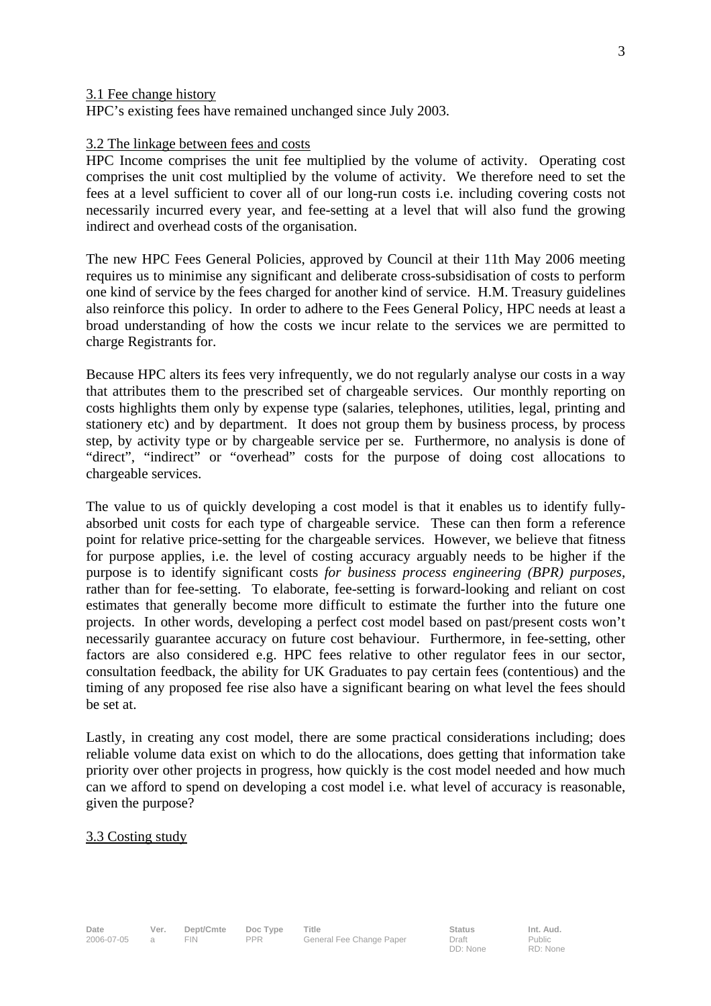#### 3.1 Fee change history

HPC's existing fees have remained unchanged since July 2003.

#### 3.2 The linkage between fees and costs

HPC Income comprises the unit fee multiplied by the volume of activity. Operating cost comprises the unit cost multiplied by the volume of activity. We therefore need to set the fees at a level sufficient to cover all of our long-run costs i.e. including covering costs not necessarily incurred every year, and fee-setting at a level that will also fund the growing indirect and overhead costs of the organisation.

The new HPC Fees General Policies, approved by Council at their 11th May 2006 meeting requires us to minimise any significant and deliberate cross-subsidisation of costs to perform one kind of service by the fees charged for another kind of service. H.M. Treasury guidelines also reinforce this policy. In order to adhere to the Fees General Policy, HPC needs at least a broad understanding of how the costs we incur relate to the services we are permitted to charge Registrants for.

Because HPC alters its fees very infrequently, we do not regularly analyse our costs in a way that attributes them to the prescribed set of chargeable services. Our monthly reporting on costs highlights them only by expense type (salaries, telephones, utilities, legal, printing and stationery etc) and by department. It does not group them by business process, by process step, by activity type or by chargeable service per se. Furthermore, no analysis is done of "direct", "indirect" or "overhead" costs for the purpose of doing cost allocations to chargeable services.

The value to us of quickly developing a cost model is that it enables us to identify fullyabsorbed unit costs for each type of chargeable service. These can then form a reference point for relative price-setting for the chargeable services. However, we believe that fitness for purpose applies, i.e. the level of costing accuracy arguably needs to be higher if the purpose is to identify significant costs *for business process engineering (BPR) purposes*, rather than for fee-setting. To elaborate, fee-setting is forward-looking and reliant on cost estimates that generally become more difficult to estimate the further into the future one projects. In other words, developing a perfect cost model based on past/present costs won't necessarily guarantee accuracy on future cost behaviour. Furthermore, in fee-setting, other factors are also considered e.g. HPC fees relative to other regulator fees in our sector, consultation feedback, the ability for UK Graduates to pay certain fees (contentious) and the timing of any proposed fee rise also have a significant bearing on what level the fees should be set at.

Lastly, in creating any cost model, there are some practical considerations including; does reliable volume data exist on which to do the allocations, does getting that information take priority over other projects in progress, how quickly is the cost model needed and how much can we afford to spend on developing a cost model i.e. what level of accuracy is reasonable, given the purpose?

#### 3.3 Costing study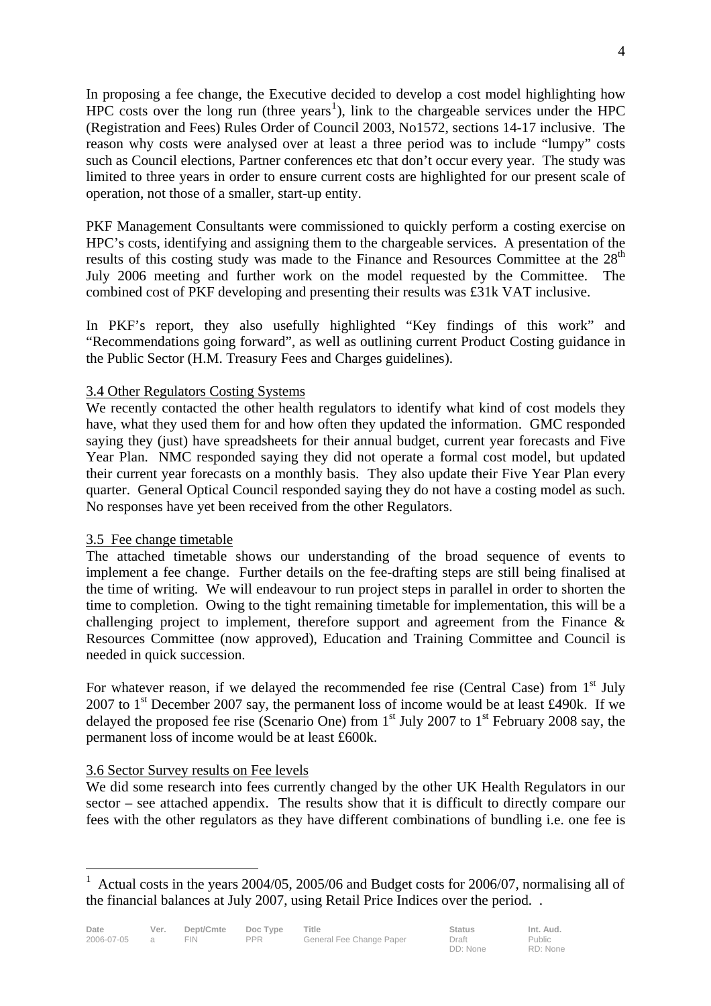In proposing a fee change, the Executive decided to develop a cost model highlighting how  $HPC$  costs over the long run (three years<sup>1</sup>), link to the chargeable services under the  $HPC$ (Registration and Fees) Rules Order of Council 2003, No1572, sections 14-17 inclusive. The reason why costs were analysed over at least a three period was to include "lumpy" costs such as Council elections, Partner conferences etc that don't occur every year. The study was limited to three years in order to ensure current costs are highlighted for our present scale of operation, not those of a smaller, start-up entity.

PKF Management Consultants were commissioned to quickly perform a costing exercise on HPC's costs, identifying and assigning them to the chargeable services. A presentation of the results of this costing study was made to the Finance and Resources Committee at the  $28<sup>th</sup>$ July 2006 meeting and further work on the model requested by the Committee. The combined cost of PKF developing and presenting their results was £31k VAT inclusive.

In PKF's report, they also usefully highlighted "Key findings of this work" and "Recommendations going forward", as well as outlining current Product Costing guidance in the Public Sector (H.M. Treasury Fees and Charges guidelines).

## 3.4 Other Regulators Costing Systems

We recently contacted the other health regulators to identify what kind of cost models they have, what they used them for and how often they updated the information. GMC responded saying they (just) have spreadsheets for their annual budget, current year forecasts and Five Year Plan.NMC responded saying they did not operate a formal cost model, but updated their current year forecasts on a monthly basis. They also update their Five Year Plan every quarter. General Optical Council responded saying they do not have a costing model as such. No responses have yet been received from the other Regulators.

## 3.5 Fee change timetable

The attached timetable shows our understanding of the broad sequence of events to implement a fee change. Further details on the fee-drafting steps are still being finalised at the time of writing. We will endeavour to run project steps in parallel in order to shorten the time to completion. Owing to the tight remaining timetable for implementation, this will be a challenging project to implement, therefore support and agreement from the Finance & Resources Committee (now approved), Education and Training Committee and Council is needed in quick succession.

For whatever reason, if we delayed the recommended fee rise (Central Case) from  $1<sup>st</sup>$  July 2007 to  $1<sup>st</sup>$  December 2007 say, the permanent loss of income would be at least £490k. If we delayed the proposed fee rise (Scenario One) from  $1<sup>st</sup>$  July 2007 to  $1<sup>st</sup>$  February 2008 say, the permanent loss of income would be at least £600k.

## 3.6 Sector Survey results on Fee levels

 $\overline{a}$ 

We did some research into fees currently changed by the other UK Health Regulators in our sector – see attached appendix. The results show that it is difficult to directly compare our fees with the other regulators as they have different combinations of bundling i.e. one fee is

<sup>&</sup>lt;sup>1</sup> Actual costs in the years 2004/05, 2005/06 and Budget costs for 2006/07, normalising all of the financial balances at July 2007, using Retail Price Indices over the period. .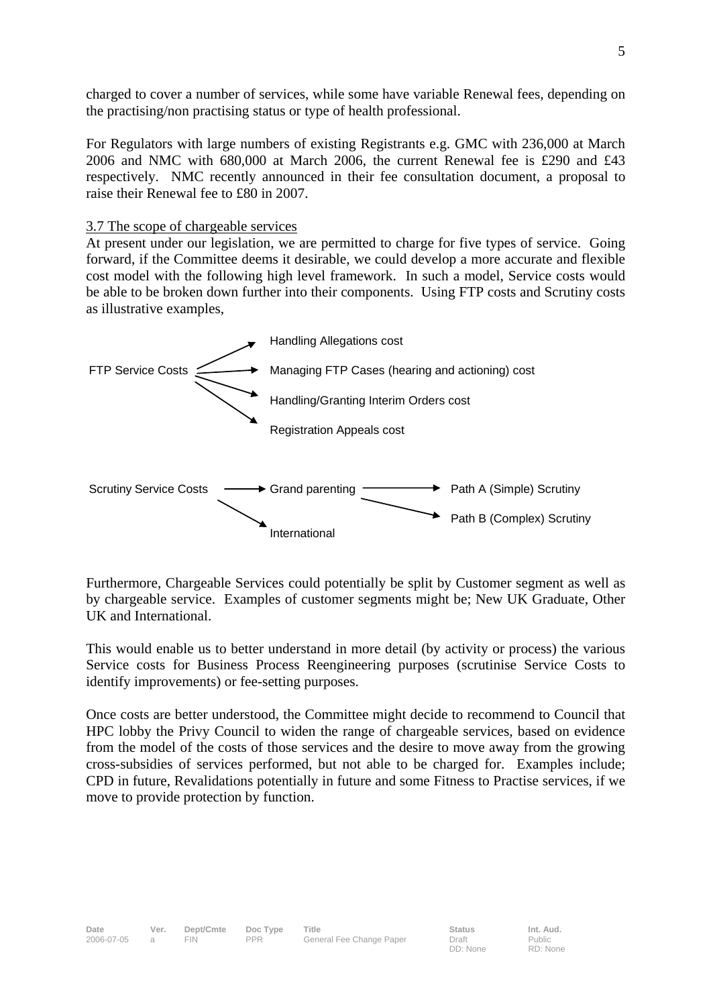charged to cover a number of services, while some have variable Renewal fees, depending on the practising/non practising status or type of health professional.

For Regulators with large numbers of existing Registrants e.g. GMC with 236,000 at March 2006 and NMC with 680,000 at March 2006, the current Renewal fee is £290 and £43 respectively. NMC recently announced in their fee consultation document, a proposal to raise their Renewal fee to £80 in 2007.

### 3.7 The scope of chargeable services

At present under our legislation, we are permitted to charge for five types of service. Going forward, if the Committee deems it desirable, we could develop a more accurate and flexible cost model with the following high level framework. In such a model, Service costs would be able to be broken down further into their components. Using FTP costs and Scrutiny costs as illustrative examples,



Furthermore, Chargeable Services could potentially be split by Customer segment as well as by chargeable service. Examples of customer segments might be; New UK Graduate, Other UK and International.

This would enable us to better understand in more detail (by activity or process) the various Service costs for Business Process Reengineering purposes (scrutinise Service Costs to identify improvements) or fee-setting purposes.

Once costs are better understood, the Committee might decide to recommend to Council that HPC lobby the Privy Council to widen the range of chargeable services, based on evidence from the model of the costs of those services and the desire to move away from the growing cross-subsidies of services performed, but not able to be charged for. Examples include; CPD in future, Revalidations potentially in future and some Fitness to Practise services, if we move to provide protection by function.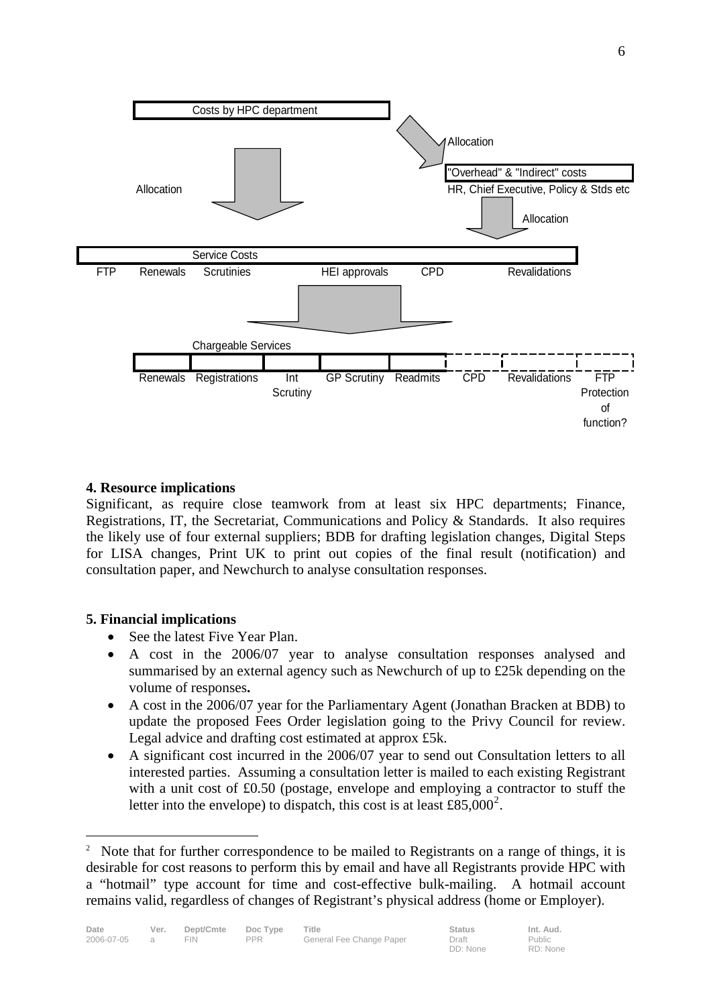

## **4. Resource implications**

Significant, as require close teamwork from at least six HPC departments; Finance, Registrations, IT, the Secretariat, Communications and Policy & Standards. It also requires the likely use of four external suppliers; BDB for drafting legislation changes, Digital Steps for LISA changes, Print UK to print out copies of the final result (notification) and consultation paper, and Newchurch to analyse consultation responses.

## **5. Financial implications**

 $\overline{a}$ 

- See the latest Five Year Plan.
- A cost in the 2006/07 year to analyse consultation responses analysed and summarised by an external agency such as Newchurch of up to £25k depending on the volume of responses**.**
- A cost in the 2006/07 year for the Parliamentary Agent (Jonathan Bracken at BDB) to update the proposed Fees Order legislation going to the Privy Council for review. Legal advice and drafting cost estimated at approx £5k.
- A significant cost incurred in the 2006/07 year to send out Consultation letters to all interested parties. Assuming a consultation letter is mailed to each existing Registrant with a unit cost of  $\text{\pounds}0.50$  (postage, envelope and employing a contractor to stuff the letter into the envelope) to dispatch, this cost is at least  $\text{\pounds}85,000^2$ .

DD: None

<sup>2</sup> Note that for further correspondence to be mailed to Registrants on a range of things, it is desirable for cost reasons to perform this by email and have all Registrants provide HPC with a "hotmail" type account for time and cost-effective bulk-mailing. A hotmail account remains valid, regardless of changes of Registrant's physical address (home or Employer).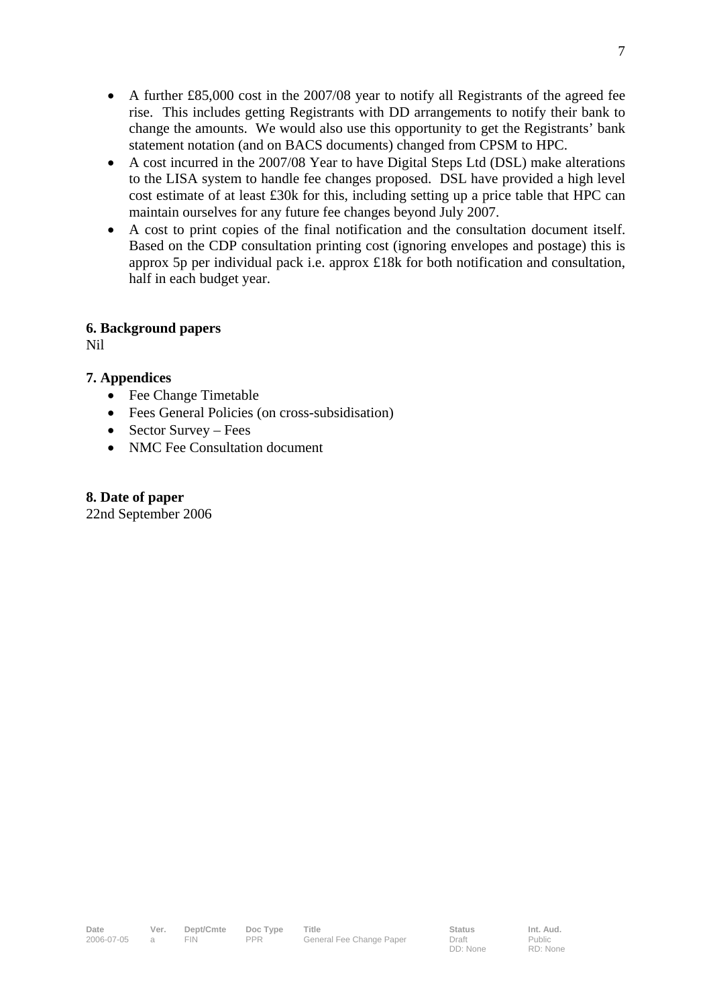- A further £85,000 cost in the 2007/08 year to notify all Registrants of the agreed fee rise. This includes getting Registrants with DD arrangements to notify their bank to change the amounts. We would also use this opportunity to get the Registrants' bank statement notation (and on BACS documents) changed from CPSM to HPC.
- A cost incurred in the 2007/08 Year to have Digital Steps Ltd (DSL) make alterations to the LISA system to handle fee changes proposed. DSL have provided a high level cost estimate of at least £30k for this, including setting up a price table that HPC can maintain ourselves for any future fee changes beyond July 2007.
- A cost to print copies of the final notification and the consultation document itself. Based on the CDP consultation printing cost (ignoring envelopes and postage) this is approx 5p per individual pack i.e. approx £18k for both notification and consultation, half in each budget year.

## **6. Background papers**

Nil

## **7. Appendices**

- Fee Change Timetable
- Fees General Policies (on cross-subsidisation)
- Sector Survey Fees
- NMC Fee Consultation document

## **8. Date of paper**

22nd September 2006

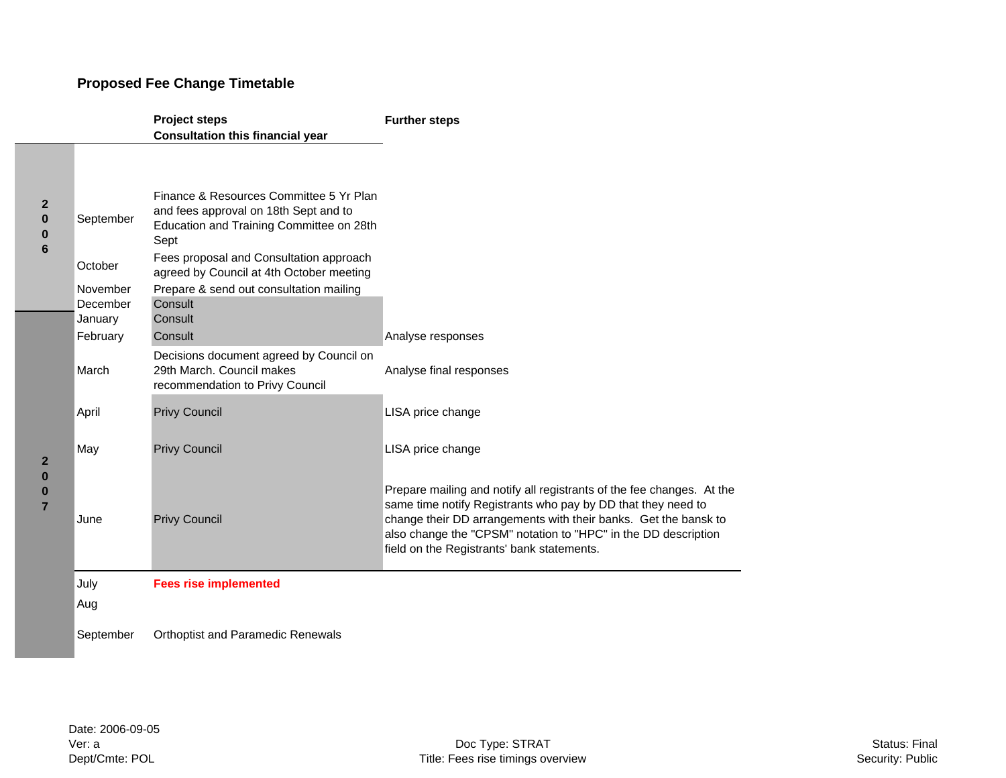## **Proposed Fee Change Timetable**

|                                                            |                                 | <b>Project steps</b>                                                                                                                 | <b>Further steps</b>                                                                                                                                                                                                                                                                                                     |
|------------------------------------------------------------|---------------------------------|--------------------------------------------------------------------------------------------------------------------------------------|--------------------------------------------------------------------------------------------------------------------------------------------------------------------------------------------------------------------------------------------------------------------------------------------------------------------------|
|                                                            |                                 | <b>Consultation this financial year</b>                                                                                              |                                                                                                                                                                                                                                                                                                                          |
| $\mathbf{2}$<br>$\mathbf 0$<br>$\pmb{0}$<br>$6\phantom{1}$ | September                       | Finance & Resources Committee 5 Yr Plan<br>and fees approval on 18th Sept and to<br>Education and Training Committee on 28th<br>Sept |                                                                                                                                                                                                                                                                                                                          |
|                                                            | October                         | Fees proposal and Consultation approach<br>agreed by Council at 4th October meeting                                                  |                                                                                                                                                                                                                                                                                                                          |
|                                                            | November<br>December<br>January | Prepare & send out consultation mailing<br>Consult<br>Consult                                                                        |                                                                                                                                                                                                                                                                                                                          |
|                                                            | February                        | Consult                                                                                                                              | Analyse responses                                                                                                                                                                                                                                                                                                        |
|                                                            | March                           | Decisions document agreed by Council on<br>29th March, Council makes<br>recommendation to Privy Council                              | Analyse final responses                                                                                                                                                                                                                                                                                                  |
|                                                            | April                           | <b>Privy Council</b>                                                                                                                 | LISA price change                                                                                                                                                                                                                                                                                                        |
| $\mathbf{2}$                                               | May                             | <b>Privy Council</b>                                                                                                                 | LISA price change                                                                                                                                                                                                                                                                                                        |
| $\bf{0}$<br>$\bf{0}$<br>$\overline{7}$                     | June                            | <b>Privy Council</b>                                                                                                                 | Prepare mailing and notify all registrants of the fee changes. At the<br>same time notify Registrants who pay by DD that they need to<br>change their DD arrangements with their banks. Get the bansk to<br>also change the "CPSM" notation to "HPC" in the DD description<br>field on the Registrants' bank statements. |
|                                                            | July<br>Aug                     | <b>Fees rise implemented</b>                                                                                                         |                                                                                                                                                                                                                                                                                                                          |
|                                                            | September                       | <b>Orthoptist and Paramedic Renewals</b>                                                                                             |                                                                                                                                                                                                                                                                                                                          |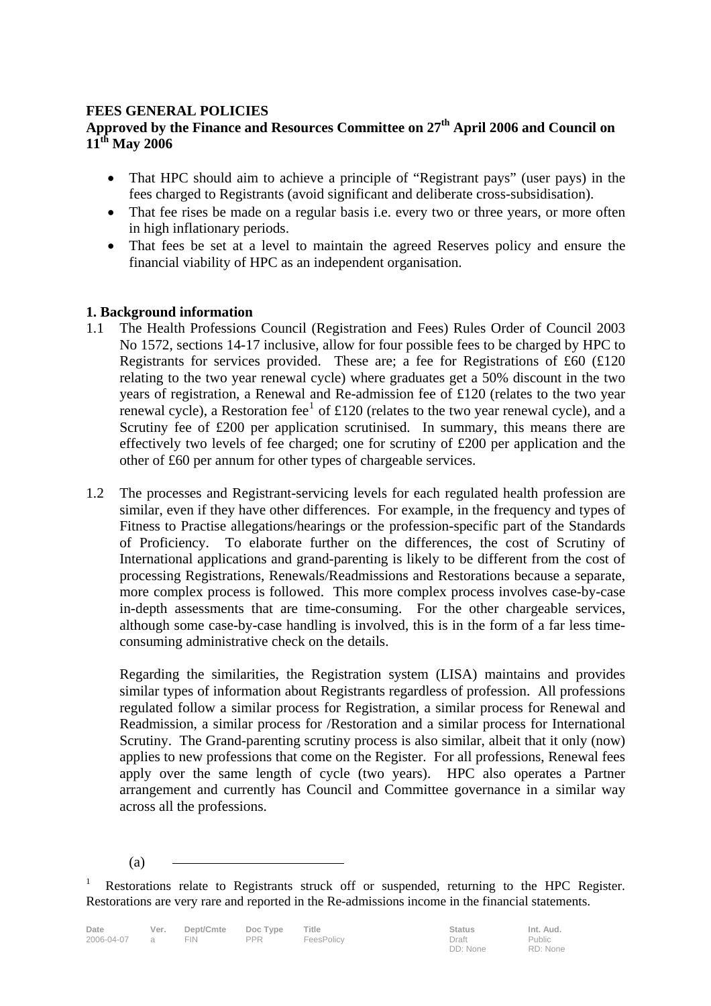## **FEES GENERAL POLICIES**

## **Approved by the Finance and Resources Committee on 27th April 2006 and Council on 11th May 2006**

- That HPC should aim to achieve a principle of "Registrant pays" (user pays) in the fees charged to Registrants (avoid significant and deliberate cross-subsidisation).
- That fee rises be made on a regular basis *i.e.* every two or three years, or more often in high inflationary periods.
- That fees be set at a level to maintain the agreed Reserves policy and ensure the financial viability of HPC as an independent organisation.

## **1. Background information**

- 1.1 The Health Professions Council (Registration and Fees) Rules Order of Council 2003 No 1572, sections 14-17 inclusive, allow for four possible fees to be charged by HPC to Registrants for services provided. These are; a fee for Registrations of £60 (£120 relating to the two year renewal cycle) where graduates get a 50% discount in the two years of registration, a Renewal and Re-admission fee of £120 (relates to the two year renewal cycle), a Restoration fee<sup>1</sup> of £120 (relates to the two year renewal cycle), and a Scrutiny fee of £200 per application scrutinised. In summary, this means there are effectively two levels of fee charged; one for scrutiny of £200 per application and the other of £60 per annum for other types of chargeable services.
- 1.2 The processes and Registrant-servicing levels for each regulated health profession are similar, even if they have other differences. For example, in the frequency and types of Fitness to Practise allegations/hearings or the profession-specific part of the Standards of Proficiency. To elaborate further on the differences, the cost of Scrutiny of International applications and grand-parenting is likely to be different from the cost of processing Registrations, Renewals/Readmissions and Restorations because a separate, more complex process is followed. This more complex process involves case-by-case in-depth assessments that are time-consuming. For the other chargeable services, although some case-by-case handling is involved, this is in the form of a far less timeconsuming administrative check on the details.

 Regarding the similarities, the Registration system (LISA) maintains and provides similar types of information about Registrants regardless of profession. All professions regulated follow a similar process for Registration, a similar process for Renewal and Readmission, a similar process for /Restoration and a similar process for International Scrutiny. The Grand-parenting scrutiny process is also similar, albeit that it only (now) applies to new professions that come on the Register. For all professions, Renewal fees apply over the same length of cycle (two years). HPC also operates a Partner arrangement and currently has Council and Committee governance in a similar way across all the professions.

(a)

<sup>1</sup> Restorations relate to Registrants struck off or suspended, returning to the HPC Register. Restorations are very rare and reported in the Re-admissions income in the financial statements.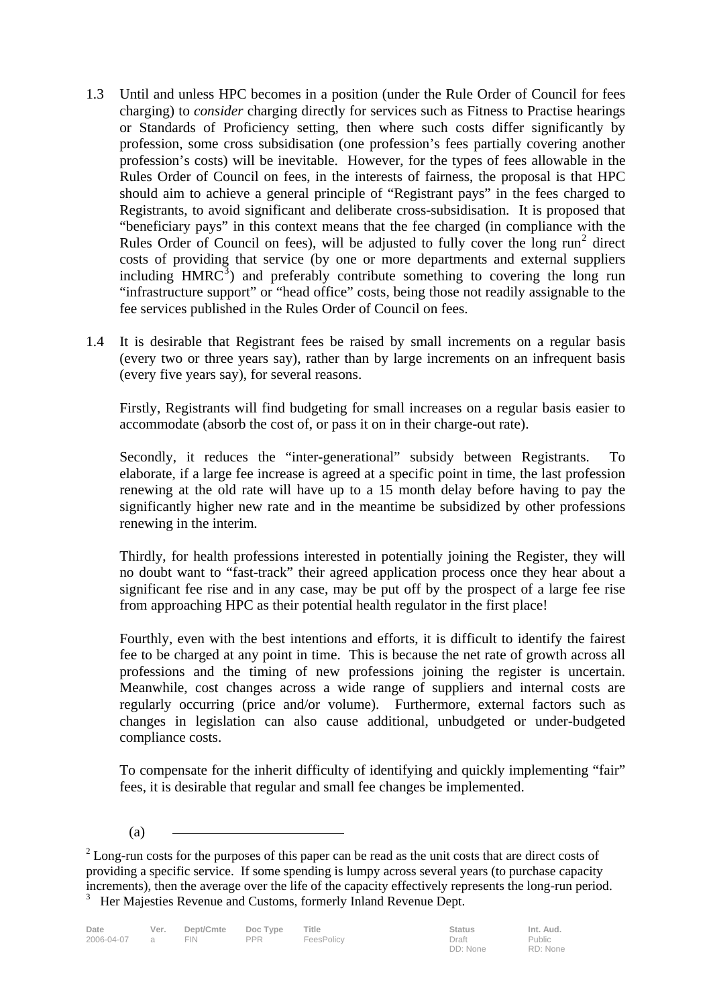- 1.3 Until and unless HPC becomes in a position (under the Rule Order of Council for fees charging) to *consider* charging directly for services such as Fitness to Practise hearings or Standards of Proficiency setting, then where such costs differ significantly by profession, some cross subsidisation (one profession's fees partially covering another profession's costs) will be inevitable. However, for the types of fees allowable in the Rules Order of Council on fees, in the interests of fairness, the proposal is that HPC should aim to achieve a general principle of "Registrant pays" in the fees charged to Registrants, to avoid significant and deliberate cross-subsidisation. It is proposed that "beneficiary pays" in this context means that the fee charged (in compliance with the Rules Order of Council on fees), will be adjusted to fully cover the long  $run<sup>2</sup>$  direct costs of providing that service (by one or more departments and external suppliers including  $HMRC<sup>3</sup>$  and preferably contribute something to covering the long run "infrastructure support" or "head office" costs, being those not readily assignable to the fee services published in the Rules Order of Council on fees.
- 1.4 It is desirable that Registrant fees be raised by small increments on a regular basis (every two or three years say), rather than by large increments on an infrequent basis (every five years say), for several reasons.

 Firstly, Registrants will find budgeting for small increases on a regular basis easier to accommodate (absorb the cost of, or pass it on in their charge-out rate).

 Secondly, it reduces the "inter-generational" subsidy between Registrants. To elaborate, if a large fee increase is agreed at a specific point in time, the last profession renewing at the old rate will have up to a 15 month delay before having to pay the significantly higher new rate and in the meantime be subsidized by other professions renewing in the interim.

 Thirdly, for health professions interested in potentially joining the Register, they will no doubt want to "fast-track" their agreed application process once they hear about a significant fee rise and in any case, may be put off by the prospect of a large fee rise from approaching HPC as their potential health regulator in the first place!

 Fourthly, even with the best intentions and efforts, it is difficult to identify the fairest fee to be charged at any point in time. This is because the net rate of growth across all professions and the timing of new professions joining the register is uncertain. Meanwhile, cost changes across a wide range of suppliers and internal costs are regularly occurring (price and/or volume). Furthermore, external factors such as changes in legislation can also cause additional, unbudgeted or under-budgeted compliance costs.

 To compensate for the inherit difficulty of identifying and quickly implementing "fair" fees, it is desirable that regular and small fee changes be implemented.

(a)

 $2^{2}$  Long-run costs for the purposes of this paper can be read as the unit costs that are direct costs of providing a specific service. If some spending is lumpy across several years (to purchase capacity increments), then the average over the life of the capacity effectively represents the long-run period. <sup>3</sup> Her Majesties Revenue and Customs, formerly Inland Revenue Dept.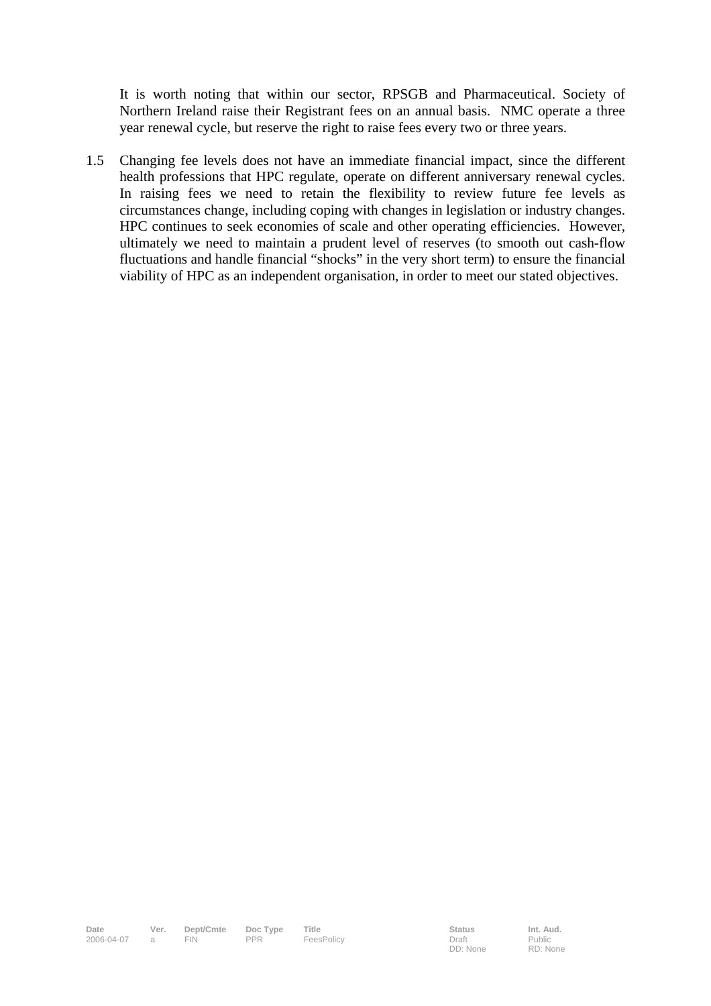It is worth noting that within our sector, RPSGB and Pharmaceutical. Society of Northern Ireland raise their Registrant fees on an annual basis. NMC operate a three year renewal cycle, but reserve the right to raise fees every two or three years.

1.5 Changing fee levels does not have an immediate financial impact, since the different health professions that HPC regulate, operate on different anniversary renewal cycles. In raising fees we need to retain the flexibility to review future fee levels as circumstances change, including coping with changes in legislation or industry changes. HPC continues to seek economies of scale and other operating efficiencies. However, ultimately we need to maintain a prudent level of reserves (to smooth out cash-flow fluctuations and handle financial "shocks" in the very short term) to ensure the financial viability of HPC as an independent organisation, in order to meet our stated objectives.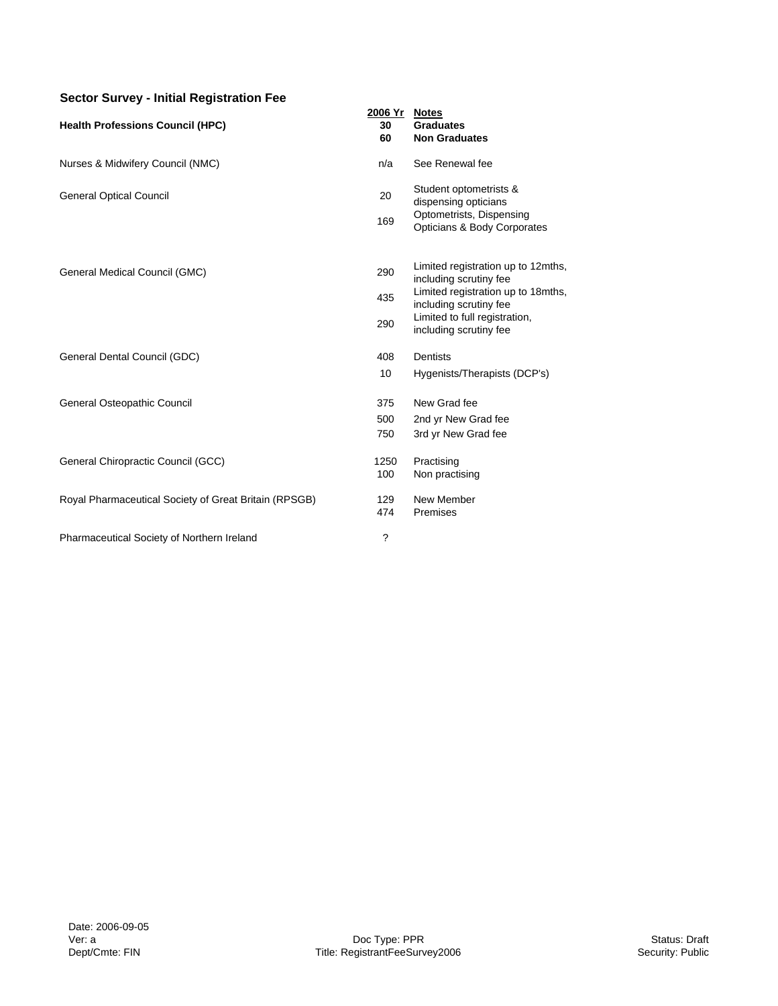### **Sector Survey - Initial Registration Fee**

|                                                       | 2006 Yr     | <b>Notes</b>                                                 |
|-------------------------------------------------------|-------------|--------------------------------------------------------------|
| <b>Health Professions Council (HPC)</b>               | 30          | <b>Graduates</b>                                             |
|                                                       | 60          | <b>Non Graduates</b>                                         |
| Nurses & Midwifery Council (NMC)                      | n/a         | See Renewal fee                                              |
| <b>General Optical Council</b>                        | 20          | Student optometrists &<br>dispensing opticians               |
|                                                       | 169         | Optometrists, Dispensing<br>Opticians & Body Corporates      |
|                                                       |             | Limited registration up to 12mths,                           |
| General Medical Council (GMC)                         | 290         | including scrutiny fee                                       |
|                                                       | 435         | Limited registration up to 18mths,<br>including scrutiny fee |
|                                                       | 290         | Limited to full registration,<br>including scrutiny fee      |
| General Dental Council (GDC)                          | 408         | Dentists                                                     |
|                                                       | 10          | Hygenists/Therapists (DCP's)                                 |
| General Osteopathic Council                           | 375         | New Grad fee                                                 |
|                                                       | 500         | 2nd yr New Grad fee                                          |
|                                                       | 750         | 3rd yr New Grad fee                                          |
| General Chiropractic Council (GCC)                    | 1250<br>100 | Practising<br>Non practising                                 |
| Royal Pharmaceutical Society of Great Britain (RPSGB) | 129<br>474  | New Member<br>Premises                                       |
| Pharmaceutical Society of Northern Ireland            | ?           |                                                              |
|                                                       |             |                                                              |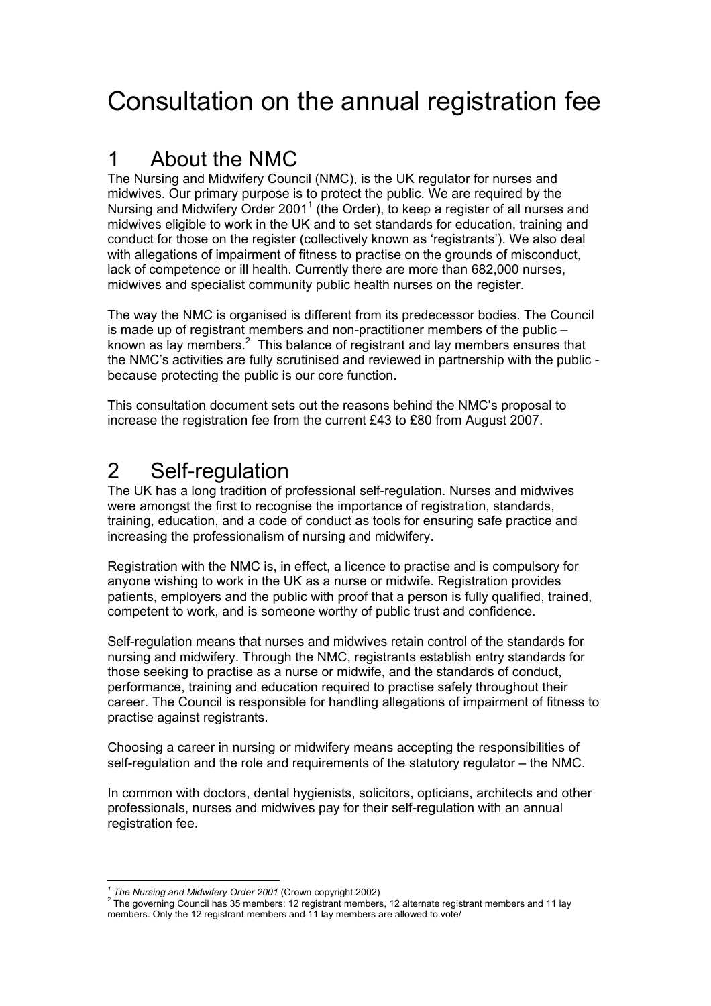# Consultation on the annual registration fee

## 1 About the NMC

The Nursing and Midwifery Council (NMC), is the UK regulator for nurses and midwives. Our primary purpose is to protect the public. We are required by the Nursing and Midwifery Order 2001<sup>1</sup> (the Order), to keep a register of all nurses and midwives eligible to work in the UK and to set standards for education, training and conduct for those on the register (collectively known as 'registrants'). We also deal with allegations of impairment of fitness to practise on the grounds of misconduct, lack of competence or ill health. Currently there are more than 682,000 nurses, midwives and specialist community public health nurses on the register.

The way the NMC is organised is different from its predecessor bodies. The Council is made up of registrant members and non-practitioner members of the public – known as lay members.<sup>2</sup> This balance of registrant and lay members ensures that the NMC's activities are fully scrutinised and reviewed in partnership with the public because protecting the public is our core function.

This consultation document sets out the reasons behind the NMC's proposal to increase the registration fee from the current £43 to £80 from August 2007.

## 2 Self-regulation

The UK has a long tradition of professional self-regulation. Nurses and midwives were amongst the first to recognise the importance of registration, standards, training, education, and a code of conduct as tools for ensuring safe practice and increasing the professionalism of nursing and midwifery.

Registration with the NMC is, in effect, a licence to practise and is compulsory for anyone wishing to work in the UK as a nurse or midwife. Registration provides patients, employers and the public with proof that a person is fully qualified, trained, competent to work, and is someone worthy of public trust and confidence.

Self-regulation means that nurses and midwives retain control of the standards for nursing and midwifery. Through the NMC, registrants establish entry standards for those seeking to practise as a nurse or midwife, and the standards of conduct, performance, training and education required to practise safely throughout their career. The Council is responsible for handling allegations of impairment of fitness to practise against registrants.

Choosing a career in nursing or midwifery means accepting the responsibilities of self-regulation and the role and requirements of the statutory regulator – the NMC.

In common with doctors, dental hygienists, solicitors, opticians, architects and other professionals, nurses and midwives pay for their self-regulation with an annual registration fee.

 $\overline{a}$ <sup>1</sup> The Nursing and Midwifery Order 2001 (Crown copyright 2002)<br><sup>2</sup> The governing Council bas 25 members: 12 registrant members

<sup>&</sup>lt;sup>2</sup> The governing Council has 35 members: 12 registrant members, 12 alternate registrant members and 11 lay members. Only the 12 registrant members and 11 lay members are allowed to vote/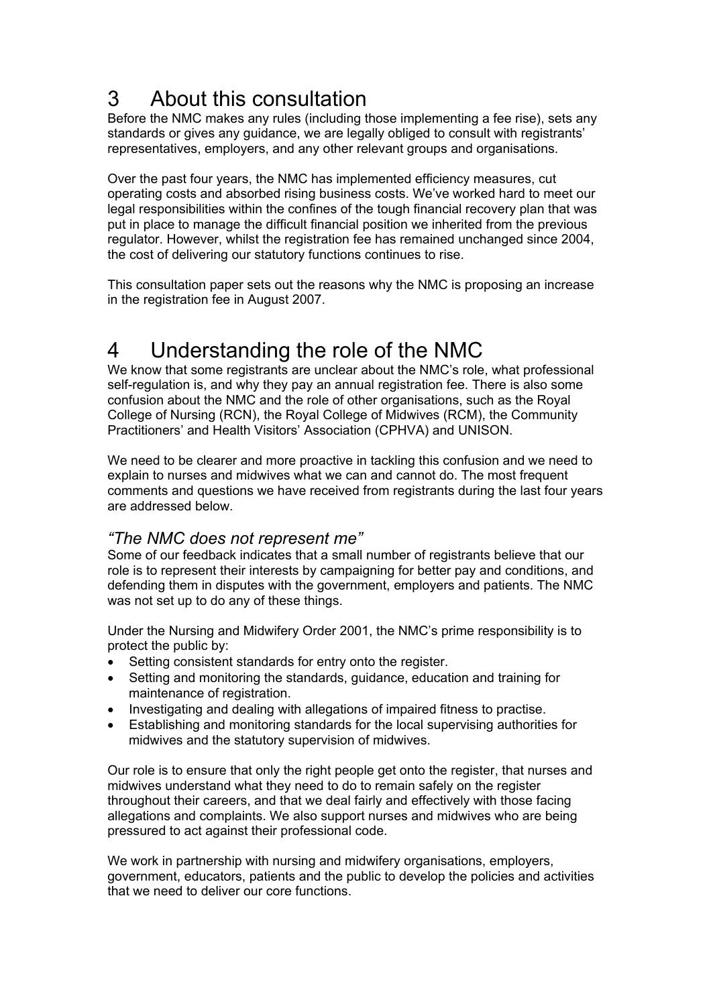# 3 About this consultation

Before the NMC makes any rules (including those implementing a fee rise), sets any standards or gives any guidance, we are legally obliged to consult with registrants' representatives, employers, and any other relevant groups and organisations.

Over the past four years, the NMC has implemented efficiency measures, cut operating costs and absorbed rising business costs. We've worked hard to meet our legal responsibilities within the confines of the tough financial recovery plan that was put in place to manage the difficult financial position we inherited from the previous regulator. However, whilst the registration fee has remained unchanged since 2004, the cost of delivering our statutory functions continues to rise.

This consultation paper sets out the reasons why the NMC is proposing an increase in the registration fee in August 2007.

## 4 Understanding the role of the NMC

We know that some registrants are unclear about the NMC's role, what professional self-regulation is, and why they pay an annual registration fee. There is also some confusion about the NMC and the role of other organisations, such as the Royal College of Nursing (RCN), the Royal College of Midwives (RCM), the Community Practitioners' and Health Visitors' Association (CPHVA) and UNISON.

We need to be clearer and more proactive in tackling this confusion and we need to explain to nurses and midwives what we can and cannot do. The most frequent comments and questions we have received from registrants during the last four years are addressed below.

## *"The NMC does not represent me"*

Some of our feedback indicates that a small number of registrants believe that our role is to represent their interests by campaigning for better pay and conditions, and defending them in disputes with the government, employers and patients. The NMC was not set up to do any of these things.

Under the Nursing and Midwifery Order 2001, the NMC's prime responsibility is to protect the public by:

- Setting consistent standards for entry onto the register.
- Setting and monitoring the standards, guidance, education and training for maintenance of registration.
- Investigating and dealing with allegations of impaired fitness to practise.
- Establishing and monitoring standards for the local supervising authorities for midwives and the statutory supervision of midwives.

Our role is to ensure that only the right people get onto the register, that nurses and midwives understand what they need to do to remain safely on the register throughout their careers, and that we deal fairly and effectively with those facing allegations and complaints. We also support nurses and midwives who are being pressured to act against their professional code.

We work in partnership with nursing and midwifery organisations, employers, government, educators, patients and the public to develop the policies and activities that we need to deliver our core functions.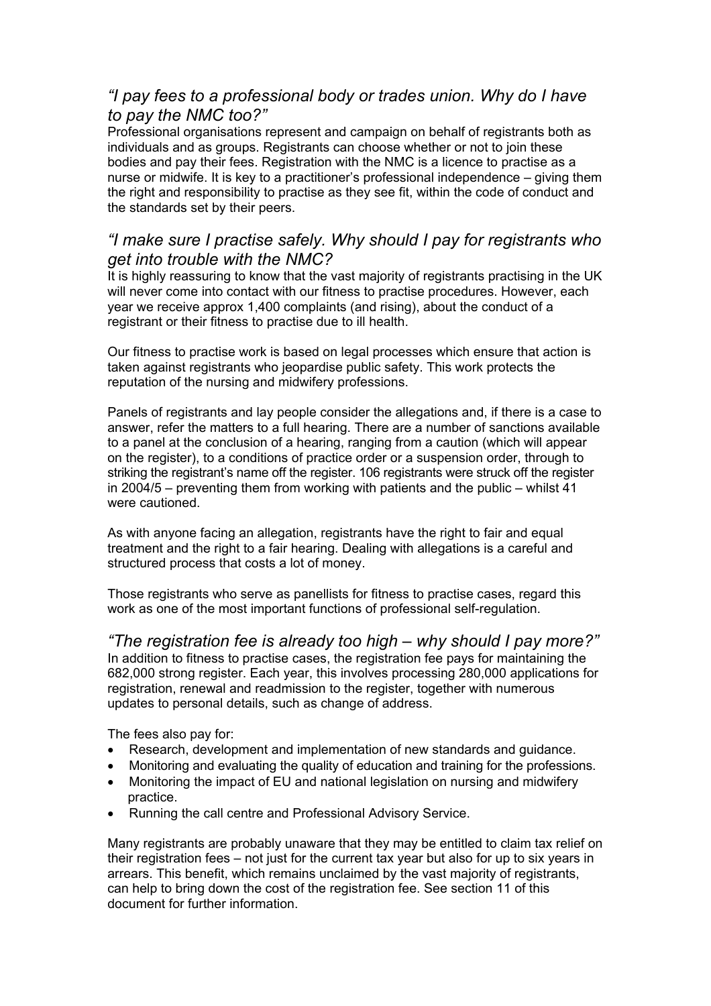## *"I pay fees to a professional body or trades union. Why do I have to pay the NMC too?"*

Professional organisations represent and campaign on behalf of registrants both as individuals and as groups. Registrants can choose whether or not to join these bodies and pay their fees. Registration with the NMC is a licence to practise as a nurse or midwife. It is key to a practitioner's professional independence – giving them the right and responsibility to practise as they see fit, within the code of conduct and the standards set by their peers.

## *"I make sure I practise safely. Why should I pay for registrants who get into trouble with the NMC?*

It is highly reassuring to know that the vast majority of registrants practising in the UK will never come into contact with our fitness to practise procedures. However, each year we receive approx 1,400 complaints (and rising), about the conduct of a registrant or their fitness to practise due to ill health.

Our fitness to practise work is based on legal processes which ensure that action is taken against registrants who jeopardise public safety. This work protects the reputation of the nursing and midwifery professions.

Panels of registrants and lay people consider the allegations and, if there is a case to answer, refer the matters to a full hearing. There are a number of sanctions available to a panel at the conclusion of a hearing, ranging from a caution (which will appear on the register), to a conditions of practice order or a suspension order, through to striking the registrant's name off the register. 106 registrants were struck off the register in 2004/5 – preventing them from working with patients and the public – whilst 41 were cautioned.

As with anyone facing an allegation, registrants have the right to fair and equal treatment and the right to a fair hearing. Dealing with allegations is a careful and structured process that costs a lot of money.

Those registrants who serve as panellists for fitness to practise cases, regard this work as one of the most important functions of professional self-regulation.

*"The registration fee is already too high – why should I pay more?"*  In addition to fitness to practise cases, the registration fee pays for maintaining the 682,000 strong register. Each year, this involves processing 280,000 applications for registration, renewal and readmission to the register, together with numerous updates to personal details, such as change of address.

The fees also pay for:

- Research, development and implementation of new standards and guidance.
- Monitoring and evaluating the quality of education and training for the professions.
- Monitoring the impact of EU and national legislation on nursing and midwifery practice.
- Running the call centre and Professional Advisory Service.

Many registrants are probably unaware that they may be entitled to claim tax relief on their registration fees – not just for the current tax year but also for up to six years in arrears. This benefit, which remains unclaimed by the vast majority of registrants, can help to bring down the cost of the registration fee. See section 11 of this document for further information.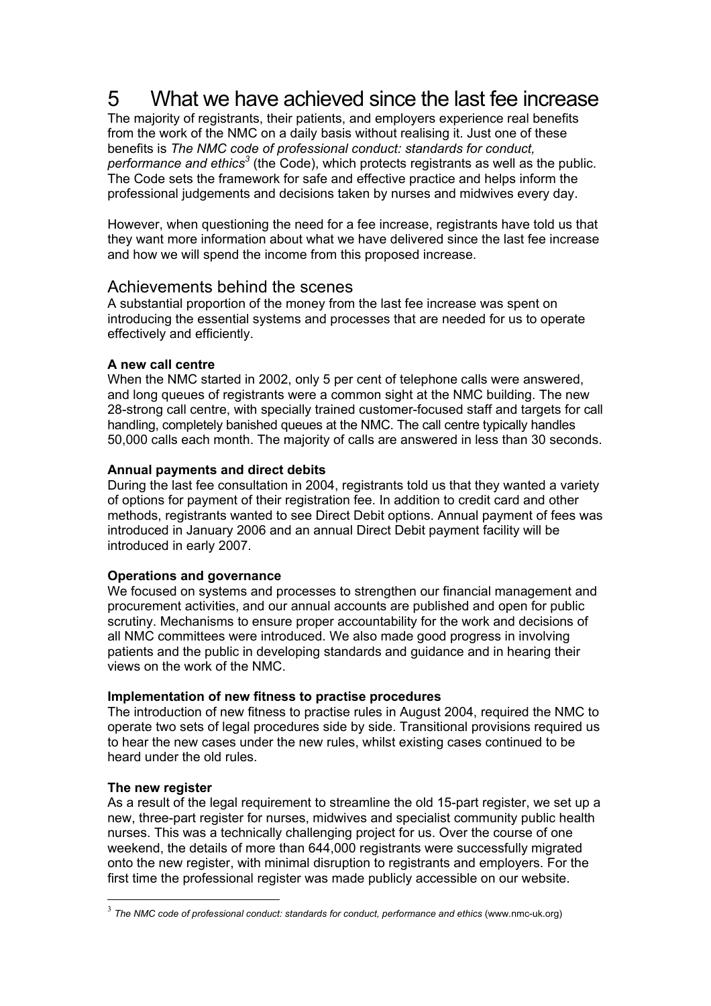## 5 What we have achieved since the last fee increase

The majority of registrants, their patients, and employers experience real benefits from the work of the NMC on a daily basis without realising it. Just one of these benefits is *The NMC code of professional conduct: standards for conduct,*  performance and ethics<sup>3</sup> (the Code), which protects registrants as well as the public. The Code sets the framework for safe and effective practice and helps inform the professional judgements and decisions taken by nurses and midwives every day.

However, when questioning the need for a fee increase, registrants have told us that they want more information about what we have delivered since the last fee increase and how we will spend the income from this proposed increase.

## Achievements behind the scenes

A substantial proportion of the money from the last fee increase was spent on introducing the essential systems and processes that are needed for us to operate effectively and efficiently.

## **A new call centre**

When the NMC started in 2002, only 5 per cent of telephone calls were answered, and long queues of registrants were a common sight at the NMC building. The new 28-strong call centre, with specially trained customer-focused staff and targets for call handling, completely banished queues at the NMC. The call centre typically handles 50,000 calls each month. The majority of calls are answered in less than 30 seconds.

## **Annual payments and direct debits**

During the last fee consultation in 2004, registrants told us that they wanted a variety of options for payment of their registration fee. In addition to credit card and other methods, registrants wanted to see Direct Debit options. Annual payment of fees was introduced in January 2006 and an annual Direct Debit payment facility will be introduced in early 2007.

## **Operations and governance**

We focused on systems and processes to strengthen our financial management and procurement activities, and our annual accounts are published and open for public scrutiny. Mechanisms to ensure proper accountability for the work and decisions of all NMC committees were introduced. We also made good progress in involving patients and the public in developing standards and guidance and in hearing their views on the work of the NMC.

## **Implementation of new fitness to practise procedures**

The introduction of new fitness to practise rules in August 2004, required the NMC to operate two sets of legal procedures side by side. Transitional provisions required us to hear the new cases under the new rules, whilst existing cases continued to be heard under the old rules.

## **The new register**

 $\overline{a}$ 

As a result of the legal requirement to streamline the old 15-part register, we set up a new, three-part register for nurses, midwives and specialist community public health nurses. This was a technically challenging project for us. Over the course of one weekend, the details of more than 644,000 registrants were successfully migrated onto the new register, with minimal disruption to registrants and employers. For the first time the professional register was made publicly accessible on our website.

<sup>&</sup>lt;sup>3</sup> The NMC code of professional conduct: standards for conduct, performance and ethics (www.nmc-uk.org)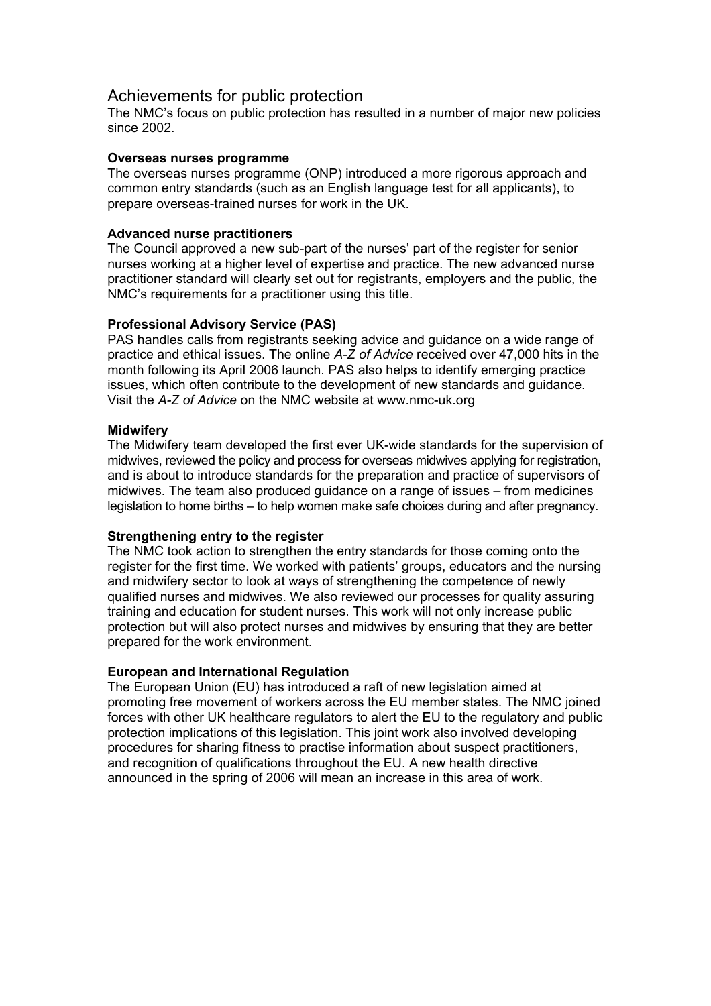## Achievements for public protection

The NMC's focus on public protection has resulted in a number of major new policies since 2002.

### **Overseas nurses programme**

The overseas nurses programme (ONP) introduced a more rigorous approach and common entry standards (such as an English language test for all applicants), to prepare overseas-trained nurses for work in the UK.

### **Advanced nurse practitioners**

The Council approved a new sub-part of the nurses' part of the register for senior nurses working at a higher level of expertise and practice. The new advanced nurse practitioner standard will clearly set out for registrants, employers and the public, the NMC's requirements for a practitioner using this title.

### **Professional Advisory Service (PAS)**

PAS handles calls from registrants seeking advice and guidance on a wide range of practice and ethical issues. The online *A-Z of Advice* received over 47,000 hits in the month following its April 2006 launch. PAS also helps to identify emerging practice issues, which often contribute to the development of new standards and guidance. Visit the *A-Z of Advice* on the NMC website at www.nmc-uk.org

### **Midwifery**

The Midwifery team developed the first ever UK-wide standards for the supervision of midwives, reviewed the policy and process for overseas midwives applying for registration, and is about to introduce standards for the preparation and practice of supervisors of midwives. The team also produced guidance on a range of issues – from medicines legislation to home births – to help women make safe choices during and after pregnancy.

#### **Strengthening entry to the register**

The NMC took action to strengthen the entry standards for those coming onto the register for the first time. We worked with patients' groups, educators and the nursing and midwifery sector to look at ways of strengthening the competence of newly qualified nurses and midwives. We also reviewed our processes for quality assuring training and education for student nurses. This work will not only increase public protection but will also protect nurses and midwives by ensuring that they are better prepared for the work environment.

## **European and International Regulation**

The European Union (EU) has introduced a raft of new legislation aimed at promoting free movement of workers across the EU member states. The NMC joined forces with other UK healthcare regulators to alert the EU to the regulatory and public protection implications of this legislation. This joint work also involved developing procedures for sharing fitness to practise information about suspect practitioners, and recognition of qualifications throughout the EU. A new health directive announced in the spring of 2006 will mean an increase in this area of work.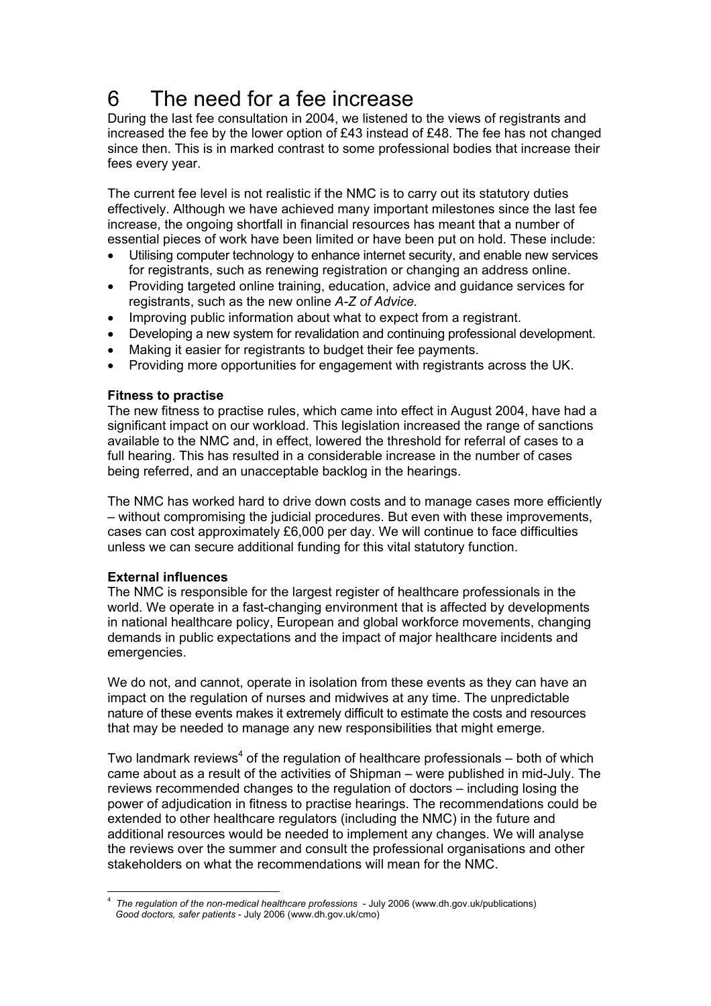# 6 The need for a fee increase

During the last fee consultation in 2004, we listened to the views of registrants and increased the fee by the lower option of £43 instead of £48. The fee has not changed since then. This is in marked contrast to some professional bodies that increase their fees every year.

The current fee level is not realistic if the NMC is to carry out its statutory duties effectively. Although we have achieved many important milestones since the last fee increase, the ongoing shortfall in financial resources has meant that a number of essential pieces of work have been limited or have been put on hold. These include:

- Utilising computer technology to enhance internet security, and enable new services for registrants, such as renewing registration or changing an address online.
- Providing targeted online training, education, advice and guidance services for registrants, such as the new online *A-Z of Advice.*
- Improving public information about what to expect from a registrant.
- Developing a new system for revalidation and continuing professional development.
- Making it easier for registrants to budget their fee payments.
- Providing more opportunities for engagement with registrants across the UK.

## **Fitness to practise**

The new fitness to practise rules, which came into effect in August 2004, have had a significant impact on our workload. This legislation increased the range of sanctions available to the NMC and, in effect, lowered the threshold for referral of cases to a full hearing. This has resulted in a considerable increase in the number of cases being referred, and an unacceptable backlog in the hearings.

The NMC has worked hard to drive down costs and to manage cases more efficiently – without compromising the judicial procedures. But even with these improvements, cases can cost approximately £6,000 per day. We will continue to face difficulties unless we can secure additional funding for this vital statutory function.

## **External influences**

The NMC is responsible for the largest register of healthcare professionals in the world. We operate in a fast-changing environment that is affected by developments in national healthcare policy, European and global workforce movements, changing demands in public expectations and the impact of major healthcare incidents and emergencies.

We do not, and cannot, operate in isolation from these events as they can have an impact on the regulation of nurses and midwives at any time. The unpredictable nature of these events makes it extremely difficult to estimate the costs and resources that may be needed to manage any new responsibilities that might emerge.

Two landmark reviews<sup>4</sup> of the regulation of healthcare professionals  $-$  both of which came about as a result of the activities of Shipman – were published in mid-July. The reviews recommended changes to the regulation of doctors – including losing the power of adjudication in fitness to practise hearings. The recommendations could be extended to other healthcare regulators (including the NMC) in the future and additional resources would be needed to implement any changes. We will analyse the reviews over the summer and consult the professional organisations and other stakeholders on what the recommendations will mean for the NMC.

 4 *The regulation of the non-medical healthcare professions* - July 2006 (www.dh.gov.uk/publications) *Good doctors, safer patients* - July 2006 (www.dh.gov.uk/cmo)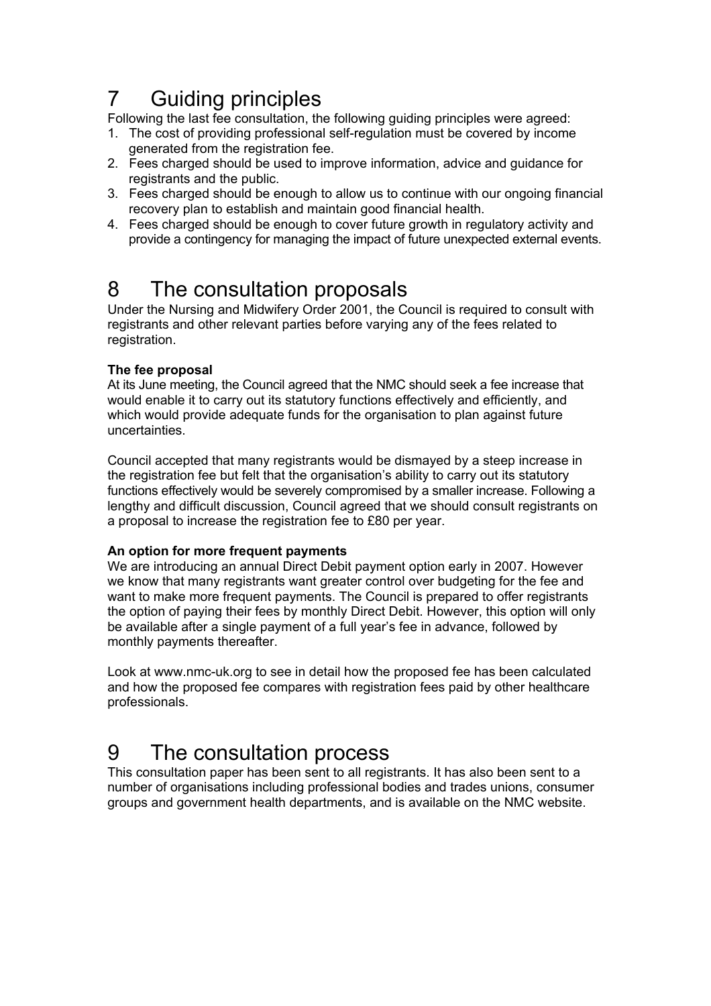# 7 Guiding principles

Following the last fee consultation, the following guiding principles were agreed:

- 1. The cost of providing professional self-regulation must be covered by income generated from the registration fee.
- 2. Fees charged should be used to improve information, advice and guidance for registrants and the public.
- 3. Fees charged should be enough to allow us to continue with our ongoing financial recovery plan to establish and maintain good financial health.
- 4. Fees charged should be enough to cover future growth in regulatory activity and provide a contingency for managing the impact of future unexpected external events.

## 8 The consultation proposals

Under the Nursing and Midwifery Order 2001, the Council is required to consult with registrants and other relevant parties before varying any of the fees related to registration.

## **The fee proposal**

At its June meeting, the Council agreed that the NMC should seek a fee increase that would enable it to carry out its statutory functions effectively and efficiently, and which would provide adequate funds for the organisation to plan against future uncertainties.

Council accepted that many registrants would be dismayed by a steep increase in the registration fee but felt that the organisation's ability to carry out its statutory functions effectively would be severely compromised by a smaller increase. Following a lengthy and difficult discussion, Council agreed that we should consult registrants on a proposal to increase the registration fee to £80 per year.

## **An option for more frequent payments**

We are introducing an annual Direct Debit payment option early in 2007. However we know that many registrants want greater control over budgeting for the fee and want to make more frequent payments. The Council is prepared to offer registrants the option of paying their fees by monthly Direct Debit. However, this option will only be available after a single payment of a full year's fee in advance, followed by monthly payments thereafter.

Look at www.nmc-uk.org to see in detail how the proposed fee has been calculated and how the proposed fee compares with registration fees paid by other healthcare professionals.

## 9 The consultation process

This consultation paper has been sent to all registrants. It has also been sent to a number of organisations including professional bodies and trades unions, consumer groups and government health departments, and is available on the NMC website.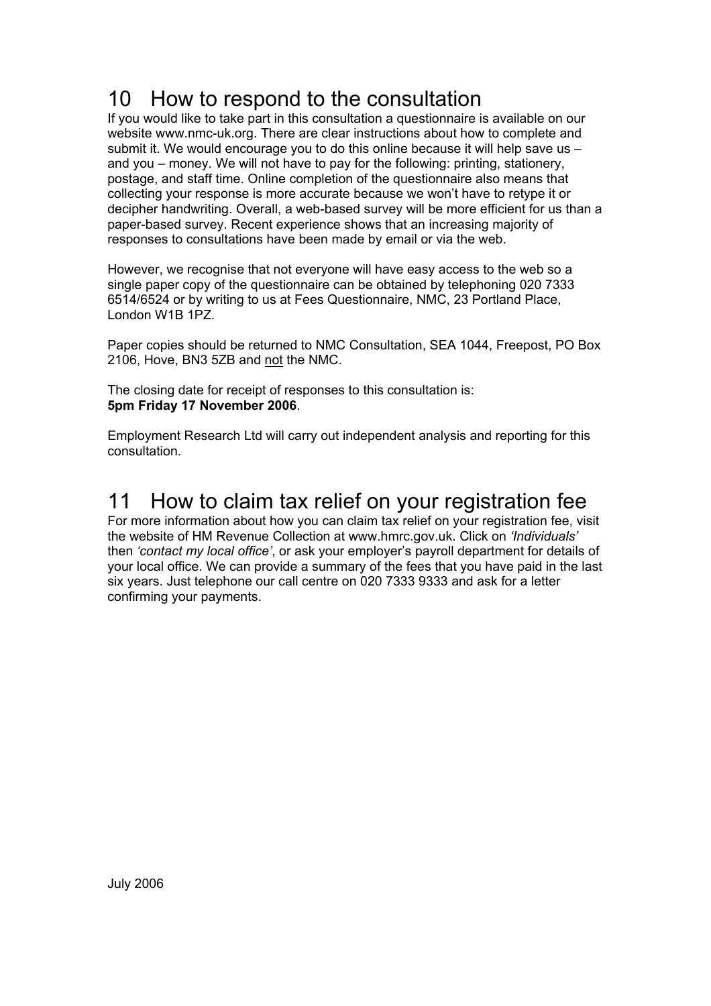## 10 How to respond to the consultation

If you would like to take part in this consultation a questionnaire is available on our website www.nmc-uk.org. There are clear instructions about how to complete and submit it. We would encourage you to do this online because it will help save us – and you – money. We will not have to pay for the following: printing, stationery, postage, and staff time. Online completion of the questionnaire also means that collecting your response is more accurate because we won't have to retype it or decipher handwriting. Overall, a web-based survey will be more efficient for us than a paper-based survey. Recent experience shows that an increasing majority of responses to consultations have been made by email or via the web.

However, we recognise that not everyone will have easy access to the web so a single paper copy of the questionnaire can be obtained by telephoning 020 7333 6514/6524 or by writing to us at Fees Questionnaire, NMC, 23 Portland Place, London W1B 1PZ.

Paper copies should be returned to NMC Consultation, SEA 1044, Freepost, PO Box 2106, Hove, BN3 5ZB and not the NMC.

The closing date for receipt of responses to this consultation is: **5pm Friday 17 November 2006**.

Employment Research Ltd will carry out independent analysis and reporting for this consultation.

## 11 How to claim tax relief on your registration fee

For more information about how you can claim tax relief on your registration fee, visit the website of HM Revenue Collection at www.hmrc.gov.uk. Click on *'Individuals'* then *'contact my local office'*, or ask your employer's payroll department for details of your local office. We can provide a summary of the fees that you have paid in the last six years. Just telephone our call centre on 020 7333 9333 and ask for a letter confirming your payments.